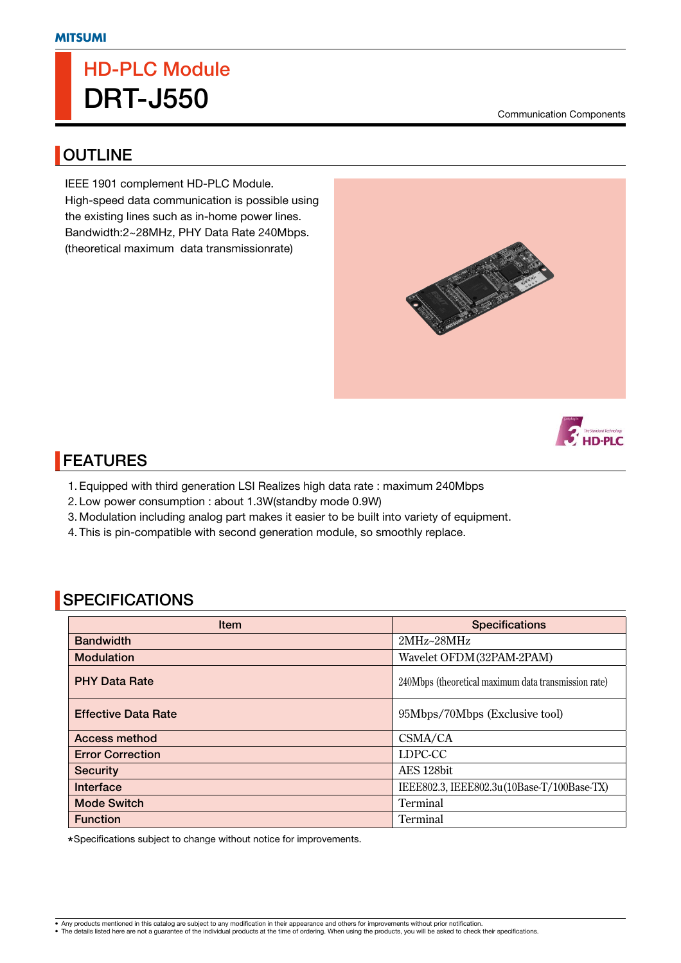# **HD-PLC Module DRT-J550**

Communication Components

#### **OUTLINE**

IEEE 1901 complement HD-PLC Module. High-speed data communication is possible using the existing lines such as in-home power lines. Bandwidth:2~28MHz, PHY Data Rate 240Mbps. (theoretical maximum data transmissionrate)





# **FEATURES**

- 1. Equipped with third generation LSI Realizes high data rate : maximum 240Mbps
- 2. Low power consumption : about 1.3W(standby mode 0.9W)
- 3. Modulation including analog part makes it easier to be built into variety of equipment.
- 4. This is pin-compatible with second generation module, so smoothly replace.

### **SPECIFICATIONS**

| <b>Item</b>                | <b>Specifications</b>                                |
|----------------------------|------------------------------------------------------|
| <b>Bandwidth</b>           | 2MHz~28MHz                                           |
| <b>Modulation</b>          | Wavelet OFDM (32PAM-2PAM)                            |
| <b>PHY Data Rate</b>       | 240Mbps (theoretical maximum data transmission rate) |
| <b>Effective Data Rate</b> | 95Mbps/70Mbps (Exclusive tool)                       |
| <b>Access method</b>       | CSMA/CA                                              |
| <b>Error Correction</b>    | LDPC-CC                                              |
| <b>Security</b>            | AES 128bit                                           |
| Interface                  | IEEE802.3, IEEE802.3u(10Base-T/100Base-TX)           |
| <b>Mode Switch</b>         | Terminal                                             |
| <b>Function</b>            | Terminal                                             |

Specifications subject to change without notice for improvements.

• Any products mentioned in this catalog are subject to any modification in their appearance and others for improvements without prior notification.<br>• The details listed here are not a guarantee of the individual products